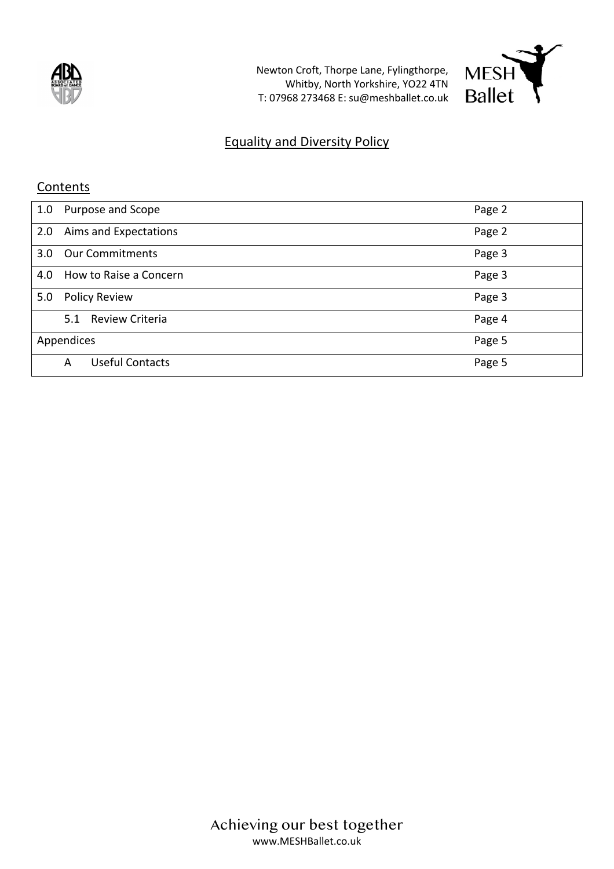

Newton Croft, Thorpe Lane, Fylingthorpe, Whitby, North Yorkshire, YO22 4TN T: 07968 273468 E: su@meshballet.co.uk



## Equality and Diversity Policy

## **Contents**

| 1.0 | Purpose and Scope           | Page 2 |
|-----|-----------------------------|--------|
| 2.0 | Aims and Expectations       | Page 2 |
| 3.0 | <b>Our Commitments</b>      | Page 3 |
| 4.0 | How to Raise a Concern      | Page 3 |
| 5.0 | <b>Policy Review</b>        | Page 3 |
|     | Review Criteria<br>5.1      | Page 4 |
|     | Appendices                  | Page 5 |
|     | <b>Useful Contacts</b><br>A | Page 5 |

Achieving our best together www.MESHBallet.co.uk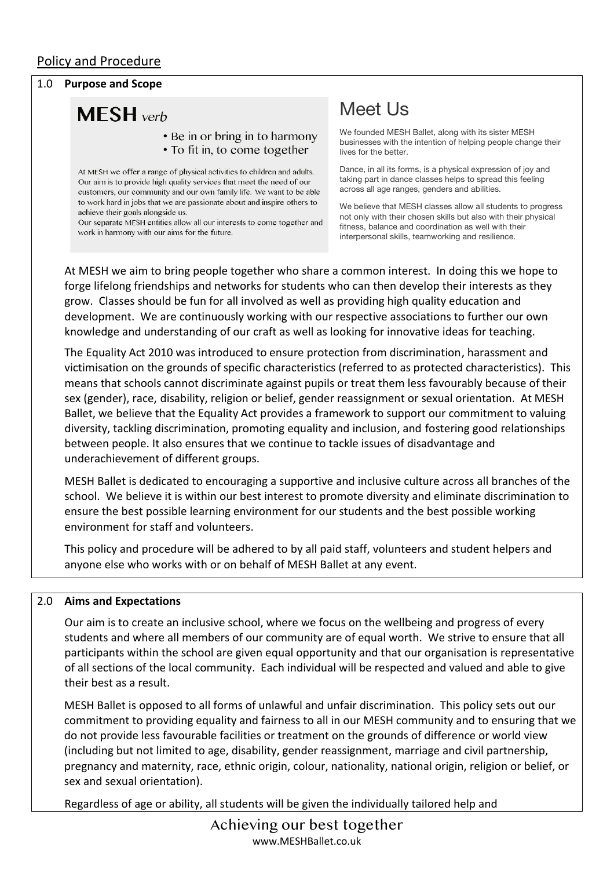## Policy and Procedure

#### 1.0 **Purpose and Scope**

# **MESH** verb

#### • Be in or bring in to harmony • To fit in, to come together

At MESH we offer a range of physical activities to children and adults. Our aim is to provide high quality services that meet the need of our customers, our community and our own family life. We want to be able to work hard in jobs that we are passionate about and inspire others to achieve their goals alongside us

Our separate MESH entities allow all our interests to come together and work in harmony with our aims for the future.

## Meet Us

We founded MESH Ballet, along with its sister MESH businesses with the intention of helping people change their lives for the better.

Dance, in all its forms, is a physical expression of joy and taking part in dance classes helps to spread this feeling across all age ranges, genders and abilities.

We believe that MESH classes allow all students to progress not only with their chosen skills but also with their physical fitness, balance and coordination as well with their interpersonal skills, teamworking and resilience.

At MESH we aim to bring people together who share a common interest. In doing this we hope to forge lifelong friendships and networks for students who can then develop their interests as they grow. Classes should be fun for all involved as well as providing high quality education and development. We are continuously working with our respective associations to further our own knowledge and understanding of our craft as well as looking for innovative ideas for teaching.

The Equality Act 2010 was introduced to ensure protection from discrimination, harassment and victimisation on the grounds of specific characteristics (referred to as protected characteristics). This means that schools cannot discriminate against pupils or treat them less favourably because of their sex (gender), race, disability, religion or belief, gender reassignment or sexual orientation. At MESH Ballet, we believe that the Equality Act provides a framework to support our commitment to valuing diversity, tackling discrimination, promoting equality and inclusion, and fostering good relationships between people. It also ensures that we continue to tackle issues of disadvantage and underachievement of different groups.

MESH Ballet is dedicated to encouraging a supportive and inclusive culture across all branches of the school. We believe it is within our best interest to promote diversity and eliminate discrimination to ensure the best possible learning environment for our students and the best possible working environment for staff and volunteers.

This policy and procedure will be adhered to by all paid staff, volunteers and student helpers and anyone else who works with or on behalf of MESH Ballet at any event.

#### 2.0 **Aims and Expectations**

Our aim is to create an inclusive school, where we focus on the wellbeing and progress of every students and where all members of our community are of equal worth. We strive to ensure that all participants within the school are given equal opportunity and that our organisation is representative of all sections of the local community. Each individual will be respected and valued and able to give their best as a result.

MESH Ballet is opposed to all forms of unlawful and unfair discrimination. This policy sets out our commitment to providing equality and fairness to all in our MESH community and to ensuring that we do not provide less favourable facilities or treatment on the grounds of difference or world view (including but not limited to age, disability, gender reassignment, marriage and civil partnership, pregnancy and maternity, race, ethnic origin, colour, nationality, national origin, religion or belief, or sex and sexual orientation).

Regardless of age or ability, all students will be given the individually tailored help and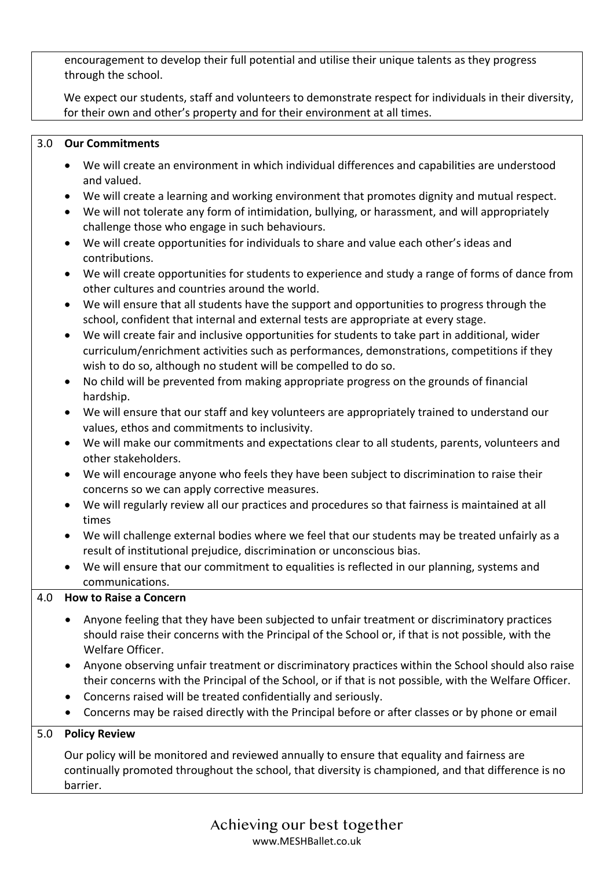encouragement to develop their full potential and utilise their unique talents as they progress through the school.

We expect our students, staff and volunteers to demonstrate respect for individuals in their diversity, for their own and other's property and for their environment at all times.

## 3.0 **Our Commitments**

- We will create an environment in which individual differences and capabilities are understood and valued.
- We will create a learning and working environment that promotes dignity and mutual respect.
- We will not tolerate any form of intimidation, bullying, or harassment, and will appropriately challenge those who engage in such behaviours.
- We will create opportunities for individuals to share and value each other's ideas and contributions.
- We will create opportunities for students to experience and study a range of forms of dance from other cultures and countries around the world.
- We will ensure that all students have the support and opportunities to progress through the school, confident that internal and external tests are appropriate at every stage.
- We will create fair and inclusive opportunities for students to take part in additional, wider curriculum/enrichment activities such as performances, demonstrations, competitions if they wish to do so, although no student will be compelled to do so.
- No child will be prevented from making appropriate progress on the grounds of financial hardship.
- We will ensure that our staff and key volunteers are appropriately trained to understand our values, ethos and commitments to inclusivity.
- We will make our commitments and expectations clear to all students, parents, volunteers and other stakeholders.
- We will encourage anyone who feels they have been subject to discrimination to raise their concerns so we can apply corrective measures.
- We will regularly review all our practices and procedures so that fairness is maintained at all times
- We will challenge external bodies where we feel that our students may be treated unfairly as a result of institutional prejudice, discrimination or unconscious bias.
- We will ensure that our commitment to equalities is reflected in our planning, systems and communications.

## 4.0 **How to Raise a Concern**

- Anyone feeling that they have been subjected to unfair treatment or discriminatory practices should raise their concerns with the Principal of the School or, if that is not possible, with the Welfare Officer.
- Anyone observing unfair treatment or discriminatory practices within the School should also raise their concerns with the Principal of the School, or if that is not possible, with the Welfare Officer.
- Concerns raised will be treated confidentially and seriously.
- Concerns may be raised directly with the Principal before or after classes or by phone or email

## 5.0 **Policy Review**

Our policy will be monitored and reviewed annually to ensure that equality and fairness are continually promoted throughout the school, that diversity is championed, and that difference is no barrier.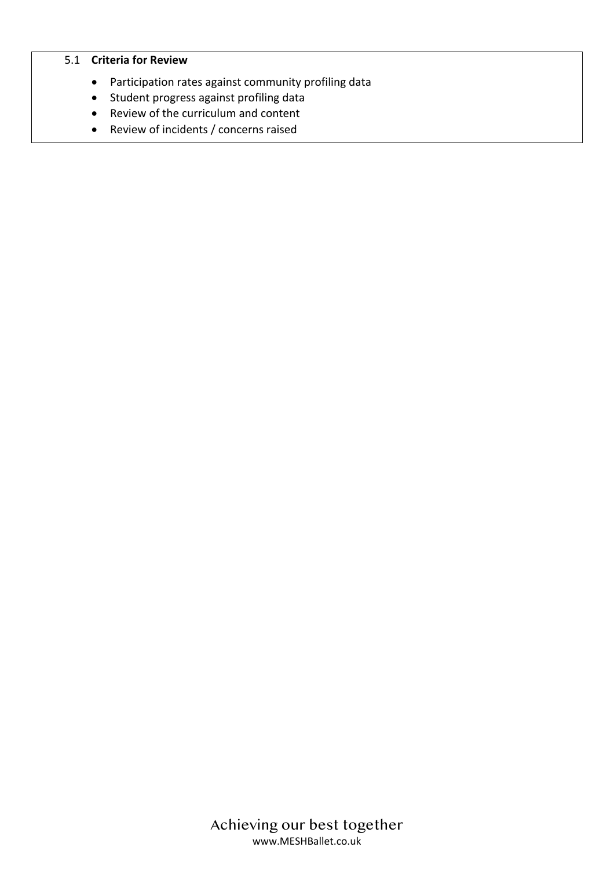#### 5.1 **Criteria for Review**

- Participation rates against community profiling data
- Student progress against profiling data
- Review of the curriculum and content
- Review of incidents / concerns raised

Achieving our best together www.MESHBallet.co.uk